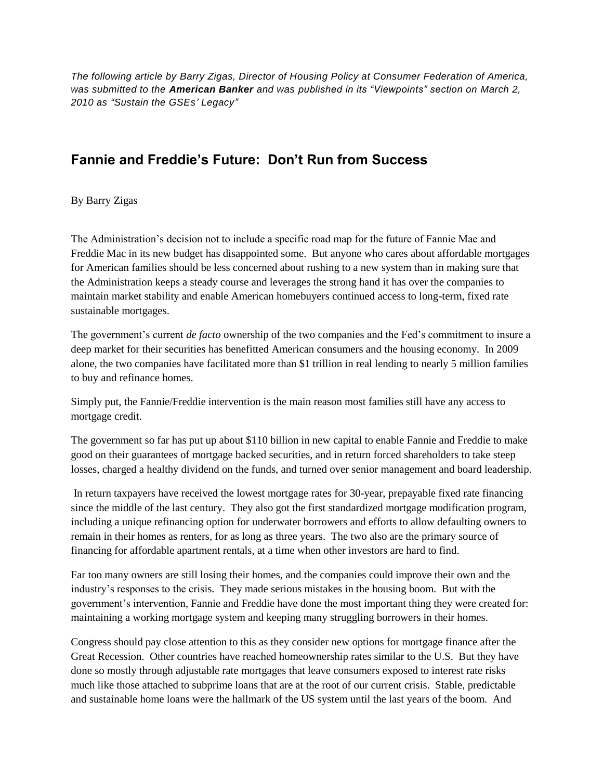*The following article by Barry Zigas, Director of Housing Policy at Consumer Federation of America, was submitted to the American Banker and was published in its "Viewpoints" section on March 2, 2010 as "Sustain the GSEs' Legacy"*

## **Fannie and Freddie's Future: Don't Run from Success**

By Barry Zigas

The Administration's decision not to include a specific road map for the future of Fannie Mae and Freddie Mac in its new budget has disappointed some. But anyone who cares about affordable mortgages for American families should be less concerned about rushing to a new system than in making sure that the Administration keeps a steady course and leverages the strong hand it has over the companies to maintain market stability and enable American homebuyers continued access to long-term, fixed rate sustainable mortgages.

The government's current *de facto* ownership of the two companies and the Fed's commitment to insure a deep market for their securities has benefitted American consumers and the housing economy. In 2009 alone, the two companies have facilitated more than \$1 trillion in real lending to nearly 5 million families to buy and refinance homes.

Simply put, the Fannie/Freddie intervention is the main reason most families still have any access to mortgage credit.

The government so far has put up about \$110 billion in new capital to enable Fannie and Freddie to make good on their guarantees of mortgage backed securities, and in return forced shareholders to take steep losses, charged a healthy dividend on the funds, and turned over senior management and board leadership.

In return taxpayers have received the lowest mortgage rates for 30-year, prepayable fixed rate financing since the middle of the last century. They also got the first standardized mortgage modification program, including a unique refinancing option for underwater borrowers and efforts to allow defaulting owners to remain in their homes as renters, for as long as three years. The two also are the primary source of financing for affordable apartment rentals, at a time when other investors are hard to find.

Far too many owners are still losing their homes, and the companies could improve their own and the industry's responses to the crisis. They made serious mistakes in the housing boom. But with the government's intervention, Fannie and Freddie have done the most important thing they were created for: maintaining a working mortgage system and keeping many struggling borrowers in their homes.

Congress should pay close attention to this as they consider new options for mortgage finance after the Great Recession. Other countries have reached homeownership rates similar to the U.S. But they have done so mostly through adjustable rate mortgages that leave consumers exposed to interest rate risks much like those attached to subprime loans that are at the root of our current crisis. Stable, predictable and sustainable home loans were the hallmark of the US system until the last years of the boom. And